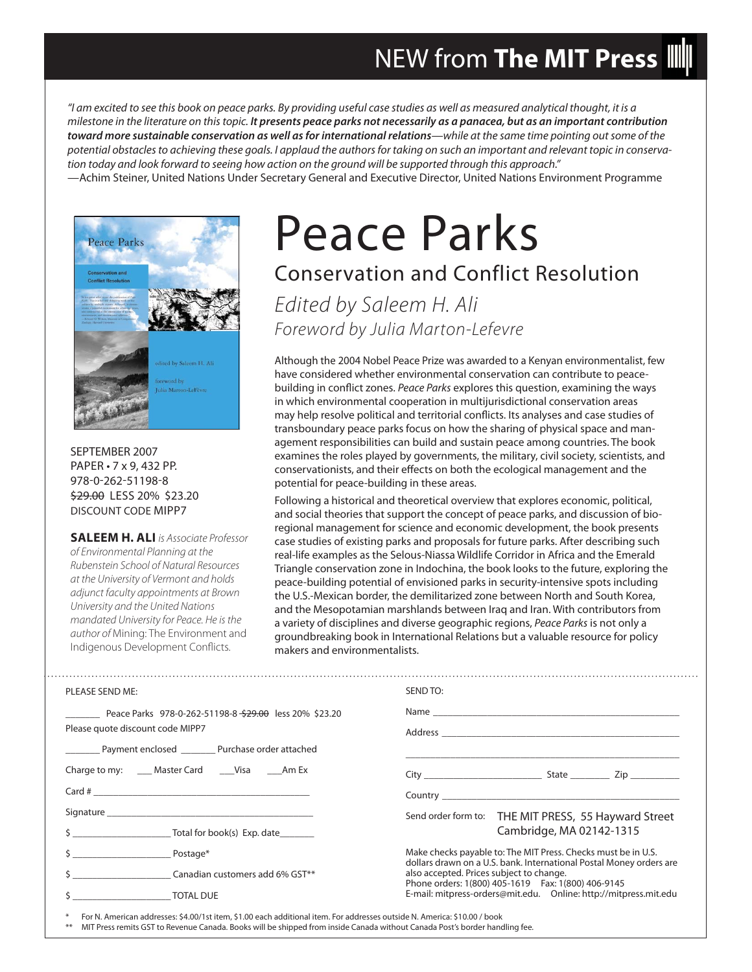## NEW from **The MIT Press**

"I am excited to see this book on peace parks. By providing useful case studies as well as measured analytical thought, it is a milestone in the literature on this topic. *It presents peace parks not necessarily as a panacea, but as an important contribution toward more sustainable conservation as well as for international relations*—while at the same time pointing out some of the potential obstacles to achieving these goals. I applaud the authors for taking on such an important and relevant topic in conservation today and look forward to seeing how action on the ground will be supported through this approach." —Achim Steiner, United Nations Under Secretary General and Executive Director, United Nations Environment Programme



SEPTEMBER 2007 PAPER • 7 x 9, 432 PP. 978-0-262-51198-8 \$29.00 LESS 20% \$23.20 DISCOUNT CODE MIPP7

**SALEEM H. ALI** is Associate Professor of Environmental Planning at the Rubenstein School of Natural Resources at the University of Vermont and holds adjunct faculty appointments at Brown University and the United Nations mandated University for Peace. He is the author of Mining: The Environment and Indigenous Development Conflicts.

# Peace Parks

### Conservation and Conflict Resolution

Edited by Saleem H. Ali Foreword by Julia Marton-Lefevre

Although the 2004 Nobel Peace Prize was awarded to a Kenyan environmentalist, few have considered whether environmental conservation can contribute to peacebuilding in conflict zones. Peace Parks explores this question, examining the ways in which environmental cooperation in multijurisdictional conservation areas may help resolve political and territorial conflicts. Its analyses and case studies of transboundary peace parks focus on how the sharing of physical space and management responsibilities can build and sustain peace among countries. The book examines the roles played by governments, the military, civil society, scientists, and conservationists, and their effects on both the ecological management and the potential for peace-building in these areas.

Following a historical and theoretical overview that explores economic, political, and social theories that support the concept of peace parks, and discussion of bioregional management for science and economic development, the book presents case studies of existing parks and proposals for future parks. After describing such real-life examples as the Selous-Niassa Wildlife Corridor in Africa and the Emerald Triangle conservation zone in Indochina, the book looks to the future, exploring the peace-building potential of envisioned parks in security-intensive spots including the U.S.-Mexican border, the demilitarized zone between North and South Korea, and the Mesopotamian marshlands between Iraq and Iran. With contributors from a variety of disciplines and diverse geographic regions, Peace Parks is not only a groundbreaking book in International Relations but a valuable resource for policy makers and environmentalists.

| PLEASE SEND ME:                                                                                       | SEND TO:                                                                                                                             |
|-------------------------------------------------------------------------------------------------------|--------------------------------------------------------------------------------------------------------------------------------------|
| Peace Parks 978-0-262-51198-8 <del>\$29.00</del> less 20% \$23.20<br>Please quote discount code MIPP7 |                                                                                                                                      |
| Payment enclosed Purchase order attached                                                              |                                                                                                                                      |
| Charge to my: _____ Master Card ______ Visa ______ Am Ex                                              |                                                                                                                                      |
|                                                                                                       |                                                                                                                                      |
|                                                                                                       | Send order form to: THE MIT PRESS, 55 Hayward Street                                                                                 |
| \$                                                                                                    | Cambridge, MA 02142-1315                                                                                                             |
| $\frac{1}{2}$ Postage*                                                                                | Make checks payable to: The MIT Press. Checks must be in U.S.<br>dollars drawn on a U.S. bank. International Postal Money orders are |
|                                                                                                       | also accepted. Prices subject to change.<br>Phone orders: 1(800) 405-1619    Fax: 1(800) 406-9145                                    |
| S TOTAL DUE                                                                                           | E-mail: mitpress-orders@mit.edu.  Online: http://mitpress.mit.edu                                                                    |
|                                                                                                       |                                                                                                                                      |

For N. American addresses: \$4.00/1st item, \$1.00 each additional item. For addresses outside N. America: \$10.00 / book

\*\* MIT Press remits GST to Revenue Canada. Books will be shipped from inside Canada without Canada Post's border handling fee.